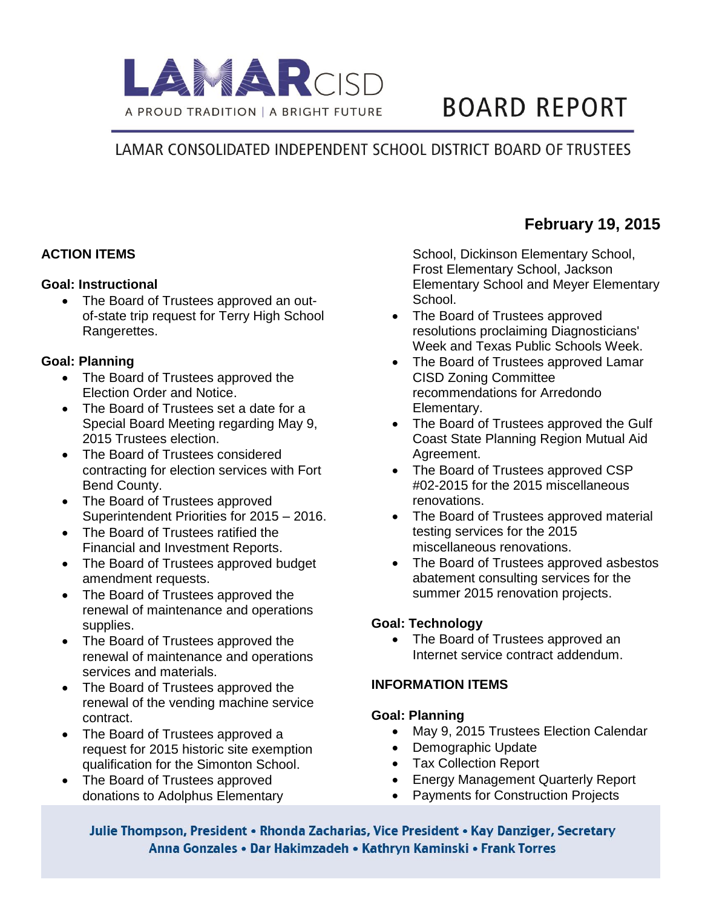

# **BOARD REPORT**

## LAMAR CONSOLIDATED INDEPENDENT SCHOOL DISTRICT BOARD OF TRUSTEES

#### **ACTION ITEMS**

#### **Goal: Instructional**

• The Board of Trustees approved an outof-state trip request for Terry High School Rangerettes.

#### **Goal: Planning**

- The Board of Trustees approved the Election Order and Notice.
- The Board of Trustees set a date for a Special Board Meeting regarding May 9, 2015 Trustees election.
- The Board of Trustees considered contracting for election services with Fort Bend County.
- The Board of Trustees approved Superintendent Priorities for 2015 – 2016.
- The Board of Trustees ratified the Financial and Investment Reports.
- The Board of Trustees approved budget amendment requests.
- The Board of Trustees approved the renewal of maintenance and operations supplies.
- The Board of Trustees approved the renewal of maintenance and operations services and materials.
- The Board of Trustees approved the renewal of the vending machine service contract.
- The Board of Trustees approved a request for 2015 historic site exemption qualification for the Simonton School.
- The Board of Trustees approved donations to Adolphus Elementary

School, Dickinson Elementary School, Frost Elementary School, Jackson Elementary School and Meyer Elementary School.

- The Board of Trustees approved resolutions proclaiming Diagnosticians' Week and Texas Public Schools Week.
- The Board of Trustees approved Lamar CISD Zoning Committee recommendations for Arredondo Elementary.
- The Board of Trustees approved the Gulf Coast State Planning Region Mutual Aid Agreement.
- The Board of Trustees approved CSP #02-2015 for the 2015 miscellaneous renovations.
- The Board of Trustees approved material testing services for the 2015 miscellaneous renovations.
- The Board of Trustees approved asbestos abatement consulting services for the summer 2015 renovation projects.

#### **Goal: Technology**

• The Board of Trustees approved an Internet service contract addendum.

### **INFORMATION ITEMS**

#### **Goal: Planning**

- May 9, 2015 Trustees Election Calendar
- Demographic Update
- Tax Collection Report
- Energy Management Quarterly Report
- Payments for Construction Projects

Julie Thompson, President • Rhonda Zacharias, Vice President • Kay Danziger, Secretary Anna Gonzales • Dar Hakimzadeh • Kathryn Kaminski • Frank Torres

## **February 19, 2015**